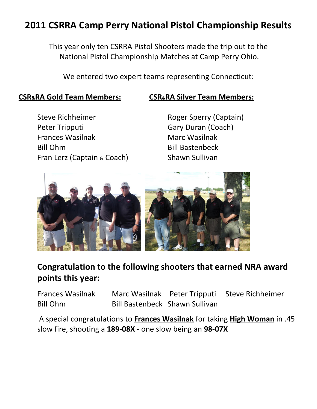## **2011 CSRRA Camp Perry National Pistol Championship Results**

This year only ten CSRRA Pistol Shooters made the trip out to the National Pistol Championship Matches at Camp Perry Ohio.

We entered two expert teams representing Connecticut:

#### **CSR&RA Gold Team Members: CSR&RA Silver Team Members:**

Steve Richheimer **Roger Sperry (Captain)** Peter Tripputi Gary Duran (Coach) Frances Wasilnak Marc Wasilnak Bill Ohm Bill Bastenbeck Fran Lerz (Captain & Coach) Shawn Sullivan



## **Congratulation to the following shooters that earned NRA award points this year:**

Frances Wasilnak Marc Wasilnak Peter Tripputi Steve Richheimer Bill Ohm Bill Bastenbeck Shawn Sullivan

A special congratulations to **Frances Wasilnak** for taking **High Woman** in .45 slow fire, shooting a **189-08X** - one slow being an **98-07X**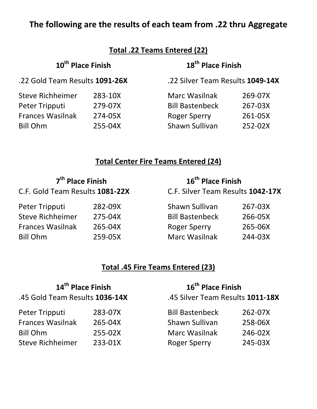## **The following are the results of each team from .22 thru Aggregate**

| Total .22 Teams Entered (22)               |                    |                                                |                               |  |
|--------------------------------------------|--------------------|------------------------------------------------|-------------------------------|--|
| 10 <sup>th</sup> Place Finish              |                    |                                                | 18 <sup>th</sup> Place Finish |  |
| .22 Gold Team Results 1091-26X             |                    | .22 Silver Team Results 1049-14X               |                               |  |
| <b>Steve Richheimer</b><br>Peter Tripputi  | 283-10X<br>279-07X | <b>Marc Wasilnak</b><br><b>Bill Bastenbeck</b> | 269-07X<br>267-03X            |  |
| <b>Frances Wasilnak</b><br><b>Bill Ohm</b> | 274-05X<br>255-04X | <b>Roger Sperry</b><br>Shawn Sullivan          | 261-05X<br>252-02X            |  |

#### **Total Center Fire Teams Entered (24)**

| 7 <sup>th</sup> Place Finish    |         | 16 <sup>th</sup> Place Finish     |         |  |
|---------------------------------|---------|-----------------------------------|---------|--|
| C.F. Gold Team Results 1081-22X |         | C.F. Silver Team Results 1042-17X |         |  |
| Peter Tripputi                  | 282-09X | <b>Shawn Sullivan</b>             | 267-03X |  |
| <b>Steve Richheimer</b>         | 275-04X | <b>Bill Bastenbeck</b>            | 266-05X |  |
| <b>Frances Wasilnak</b>         | 265-04X | <b>Roger Sperry</b>               | 265-06X |  |
| <b>Bill Ohm</b>                 | 259-05X | <b>Marc Wasilnak</b>              | 244-03X |  |

### **Total .45 Fire Teams Entered (23)**

| 14 <sup>th</sup> Place Finish  |         | 16 <sup>th</sup> Place Finish    |         |  |
|--------------------------------|---------|----------------------------------|---------|--|
| .45 Gold Team Results 1036-14X |         | .45 Silver Team Results 1011-18X |         |  |
| Peter Tripputi                 | 283-07X | <b>Bill Bastenbeck</b>           | 262-07X |  |
| <b>Frances Wasilnak</b>        | 265-04X | Shawn Sullivan                   | 258-06X |  |
| <b>Bill Ohm</b>                | 255-02X | <b>Marc Wasilnak</b>             | 246-02X |  |
| <b>Steve Richheimer</b>        | 233-01X | <b>Roger Sperry</b>              | 245-03X |  |